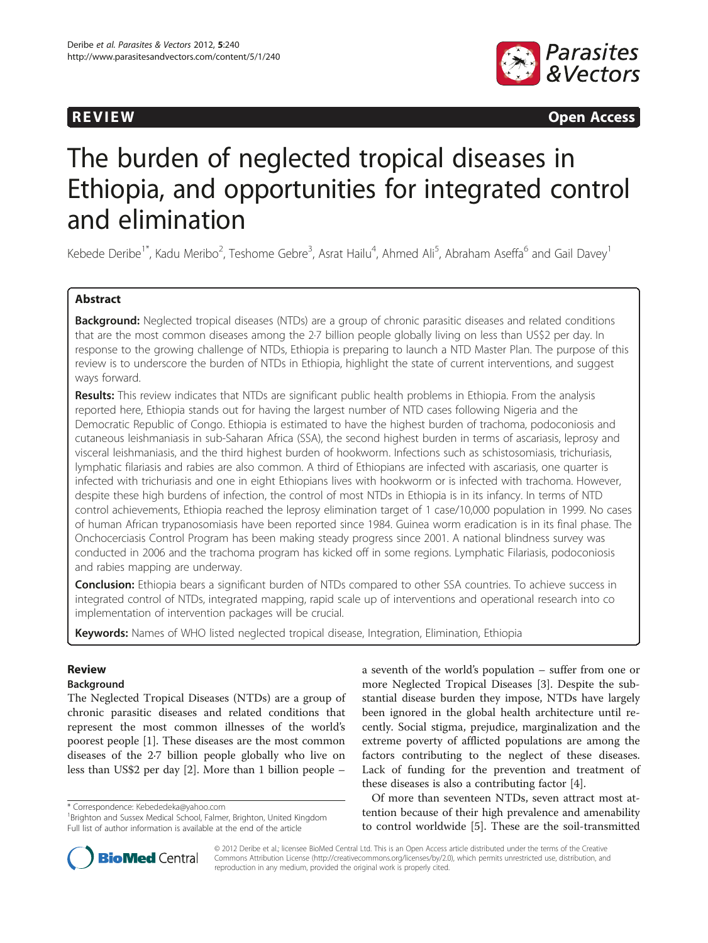



**REVIEW REVIEW CONSTRUCTER** 

# The burden of neglected tropical diseases in Ethiopia, and opportunities for integrated control and elimination

Kebede Deribe<sup>1\*</sup>, Kadu Meribo<sup>2</sup>, Teshome Gebre<sup>3</sup>, Asrat Hailu<sup>4</sup>, Ahmed Ali<sup>5</sup>, Abraham Aseffa<sup>6</sup> and Gail Davey<sup>1</sup>

# Abstract

Background: Neglected tropical diseases (NTDs) are a group of chronic parasitic diseases and related conditions that are the most common diseases among the 2·7 billion people globally living on less than US\$2 per day. In response to the growing challenge of NTDs, Ethiopia is preparing to launch a NTD Master Plan. The purpose of this review is to underscore the burden of NTDs in Ethiopia, highlight the state of current interventions, and suggest ways forward.

Results: This review indicates that NTDs are significant public health problems in Ethiopia. From the analysis reported here, Ethiopia stands out for having the largest number of NTD cases following Nigeria and the Democratic Republic of Congo. Ethiopia is estimated to have the highest burden of trachoma, podoconiosis and cutaneous leishmaniasis in sub-Saharan Africa (SSA), the second highest burden in terms of ascariasis, leprosy and visceral leishmaniasis, and the third highest burden of hookworm. Infections such as schistosomiasis, trichuriasis, lymphatic filariasis and rabies are also common. A third of Ethiopians are infected with ascariasis, one quarter is infected with trichuriasis and one in eight Ethiopians lives with hookworm or is infected with trachoma. However, despite these high burdens of infection, the control of most NTDs in Ethiopia is in its infancy. In terms of NTD control achievements, Ethiopia reached the leprosy elimination target of 1 case/10,000 population in 1999. No cases of human African trypanosomiasis have been reported since 1984. Guinea worm eradication is in its final phase. The Onchocerciasis Control Program has been making steady progress since 2001. A national blindness survey was conducted in 2006 and the trachoma program has kicked off in some regions. Lymphatic Filariasis, podoconiosis and rabies mapping are underway.

**Conclusion:** Ethiopia bears a significant burden of NTDs compared to other SSA countries. To achieve success in integrated control of NTDs, integrated mapping, rapid scale up of interventions and operational research into co implementation of intervention packages will be crucial.

Keywords: Names of WHO listed neglected tropical disease, Integration, Elimination, Ethiopia

# Review

## Background

The Neglected Tropical Diseases (NTDs) are a group of chronic parasitic diseases and related conditions that represent the most common illnesses of the world's poorest people [\[1](#page-12-0)]. These diseases are the most common diseases of the 2·7 billion people globally who live on less than US\$2 per day [\[2](#page-12-0)]. More than 1 billion people –

\* Correspondence: [Kebededeka@yahoo.com](mailto:Kebededeka@yahoo.com) <sup>1</sup>

a seventh of the world's population – suffer from one or more Neglected Tropical Diseases [[3\]](#page-13-0). Despite the substantial disease burden they impose, NTDs have largely been ignored in the global health architecture until recently. Social stigma, prejudice, marginalization and the extreme poverty of afflicted populations are among the factors contributing to the neglect of these diseases. Lack of funding for the prevention and treatment of these diseases is also a contributing factor [[4\]](#page-13-0).

Of more than seventeen NTDs, seven attract most attention because of their high prevalence and amenability to control worldwide [\[5](#page-13-0)]. These are the soil-transmitted



© 2012 Deribe et al.; licensee BioMed Central Ltd. This is an Open Access article distributed under the terms of the Creative Commons Attribution License [\(http://creativecommons.org/licenses/by/2.0\)](http://creativecommons.org/licenses/by/2.0), which permits unrestricted use, distribution, and reproduction in any medium, provided the original work is properly cited.

<sup>&</sup>lt;sup>1</sup>Brighton and Sussex Medical School, Falmer, Brighton, United Kingdom Full list of author information is available at the end of the article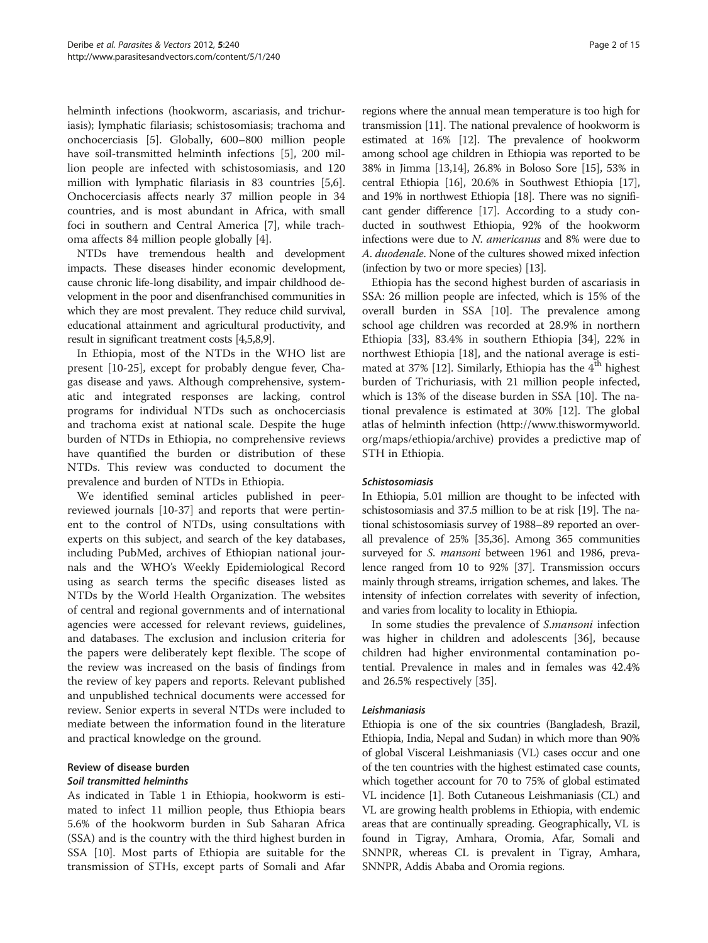helminth infections (hookworm, ascariasis, and trichuriasis); lymphatic filariasis; schistosomiasis; trachoma and onchocerciasis [\[5\]](#page-13-0). Globally, 600–800 million people have soil-transmitted helminth infections [\[5\]](#page-13-0), 200 million people are infected with schistosomiasis, and 120 million with lymphatic filariasis in 83 countries [\[5,6](#page-13-0)]. Onchocerciasis affects nearly 37 million people in 34 countries, and is most abundant in Africa, with small foci in southern and Central America [\[7](#page-13-0)], while trachoma affects 84 million people globally [\[4](#page-13-0)].

NTDs have tremendous health and development impacts. These diseases hinder economic development, cause chronic life-long disability, and impair childhood development in the poor and disenfranchised communities in which they are most prevalent. They reduce child survival, educational attainment and agricultural productivity, and result in significant treatment costs [\[4,5,8,9](#page-13-0)].

In Ethiopia, most of the NTDs in the WHO list are present [[10-25](#page-13-0)], except for probably dengue fever, Chagas disease and yaws. Although comprehensive, systematic and integrated responses are lacking, control programs for individual NTDs such as onchocerciasis and trachoma exist at national scale. Despite the huge burden of NTDs in Ethiopia, no comprehensive reviews have quantified the burden or distribution of these NTDs. This review was conducted to document the prevalence and burden of NTDs in Ethiopia.

We identified seminal articles published in peerreviewed journals [[10-37\]](#page-13-0) and reports that were pertinent to the control of NTDs, using consultations with experts on this subject, and search of the key databases, including PubMed, archives of Ethiopian national journals and the WHO's Weekly Epidemiological Record using as search terms the specific diseases listed as NTDs by the World Health Organization. The websites of central and regional governments and of international agencies were accessed for relevant reviews, guidelines, and databases. The exclusion and inclusion criteria for the papers were deliberately kept flexible. The scope of the review was increased on the basis of findings from the review of key papers and reports. Relevant published and unpublished technical documents were accessed for review. Senior experts in several NTDs were included to mediate between the information found in the literature and practical knowledge on the ground.

# Review of disease burden

# Soil transmitted helminths

As indicated in Table [1](#page-2-0) in Ethiopia, hookworm is estimated to infect 11 million people, thus Ethiopia bears 5.6% of the hookworm burden in Sub Saharan Africa (SSA) and is the country with the third highest burden in SSA [\[10\]](#page-13-0). Most parts of Ethiopia are suitable for the transmission of STHs, except parts of Somali and Afar

regions where the annual mean temperature is too high for transmission [[11](#page-13-0)]. The national prevalence of hookworm is estimated at 16% [\[12](#page-13-0)]. The prevalence of hookworm among school age children in Ethiopia was reported to be 38% in Jimma [\[13,14\]](#page-13-0), 26.8% in Boloso Sore [\[15\]](#page-13-0), 53% in central Ethiopia [\[16\]](#page-13-0), 20.6% in Southwest Ethiopia [\[17](#page-13-0)], and 19% in northwest Ethiopia [\[18\]](#page-13-0). There was no significant gender difference [[17](#page-13-0)]. According to a study conducted in southwest Ethiopia, 92% of the hookworm infections were due to N. americanus and 8% were due to A. duodenale. None of the cultures showed mixed infection (infection by two or more species) [\[13\]](#page-13-0).

Ethiopia has the second highest burden of ascariasis in SSA: 26 million people are infected, which is 15% of the overall burden in SSA [[10\]](#page-13-0). The prevalence among school age children was recorded at 28.9% in northern Ethiopia [\[33](#page-13-0)], 83.4% in southern Ethiopia [[34](#page-13-0)], 22% in northwest Ethiopia [\[18\]](#page-13-0), and the national average is esti-mated at 37% [[12](#page-13-0)]. Similarly, Ethiopia has the  $4<sup>th</sup>$  highest burden of Trichuriasis, with 21 million people infected, which is 13% of the disease burden in SSA [[10](#page-13-0)]. The national prevalence is estimated at 30% [\[12](#page-13-0)]. The global atlas of helminth infection [\(http://www.thiswormyworld.](http://www.thiswormyworld.org/maps/ethiopia/archive) [org/maps/ethiopia/archive](http://www.thiswormyworld.org/maps/ethiopia/archive)) provides a predictive map of STH in Ethiopia.

### Schistosomiasis

In Ethiopia, 5.01 million are thought to be infected with schistosomiasis and 37.5 million to be at risk [\[19\]](#page-13-0). The national schistosomiasis survey of 1988–89 reported an overall prevalence of 25% [\[35,36](#page-13-0)]. Among 365 communities surveyed for S. mansoni between 1961 and 1986, prevalence ranged from 10 to 92% [[37](#page-13-0)]. Transmission occurs mainly through streams, irrigation schemes, and lakes. The intensity of infection correlates with severity of infection, and varies from locality to locality in Ethiopia.

In some studies the prevalence of S.mansoni infection was higher in children and adolescents [[36\]](#page-13-0), because children had higher environmental contamination potential. Prevalence in males and in females was 42.4% and 26.5% respectively [\[35\]](#page-13-0).

# Leishmaniasis

Ethiopia is one of the six countries (Bangladesh, Brazil, Ethiopia, India, Nepal and Sudan) in which more than 90% of global Visceral Leishmaniasis (VL) cases occur and one of the ten countries with the highest estimated case counts, which together account for 70 to 75% of global estimated VL incidence [[1\]](#page-12-0). Both Cutaneous Leishmaniasis (CL) and VL are growing health problems in Ethiopia, with endemic areas that are continually spreading. Geographically, VL is found in Tigray, Amhara, Oromia, Afar, Somali and SNNPR, whereas CL is prevalent in Tigray, Amhara, SNNPR, Addis Ababa and Oromia regions.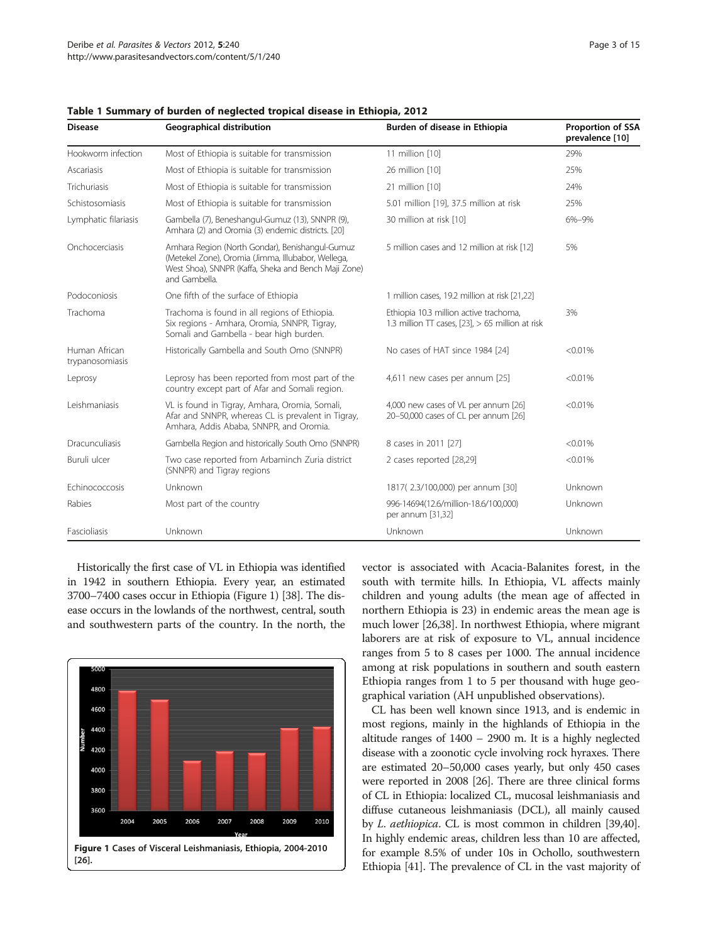| <b>Disease</b>                   | Geographical distribution                                                                                                                                                      | Burden of disease in Ethiopia                                                              | <b>Proportion of SSA</b><br>prevalence [10] |
|----------------------------------|--------------------------------------------------------------------------------------------------------------------------------------------------------------------------------|--------------------------------------------------------------------------------------------|---------------------------------------------|
| Hookworm infection               | Most of Ethiopia is suitable for transmission                                                                                                                                  | 11 million [10]                                                                            | 29%                                         |
| Ascariasis                       | Most of Ethiopia is suitable for transmission                                                                                                                                  | 26 million [10]                                                                            | 25%                                         |
| Trichuriasis                     | Most of Ethiopia is suitable for transmission                                                                                                                                  | 21 million [10]                                                                            | 24%                                         |
| Schistosomiasis                  | Most of Ethiopia is suitable for transmission                                                                                                                                  | 5.01 million [19], 37.5 million at risk                                                    | 25%                                         |
| Lymphatic filariasis             | Gambella (7), Beneshangul-Gumuz (13), SNNPR (9),<br>Amhara (2) and Oromia (3) endemic districts. [20]                                                                          | 30 million at risk [10]                                                                    | 6%-9%                                       |
| Onchocerciasis                   | Amhara Region (North Gondar), Benishangul-Gumuz<br>(Metekel Zone), Oromia (Jimma, Illubabor, Wellega,<br>West Shoa), SNNPR (Kaffa, Sheka and Bench Maji Zone)<br>and Gambella. | 5 million cases and 12 million at risk [12]                                                | 5%                                          |
| Podoconiosis                     | One fifth of the surface of Ethiopia                                                                                                                                           | 1 million cases, 19.2 million at risk [21,22]                                              |                                             |
| Trachoma                         | Trachoma is found in all regions of Ethiopia.<br>Six regions - Amhara, Oromia, SNNPR, Tigray,<br>Somali and Gambella - bear high burden.                                       | Ethiopia 10.3 million active trachoma,<br>1.3 million TT cases, [23], > 65 million at risk | 3%                                          |
| Human African<br>trypanosomiasis | Historically Gambella and South Omo (SNNPR)                                                                                                                                    | No cases of HAT since 1984 [24]                                                            | < 0.01%                                     |
| Leprosy                          | Leprosy has been reported from most part of the<br>country except part of Afar and Somali region.                                                                              | 4,611 new cases per annum [25]                                                             | < 0.01%                                     |
| Leishmaniasis                    | VL is found in Tigray, Amhara, Oromia, Somali,<br>Afar and SNNPR, whereas CL is prevalent in Tigray,<br>Amhara, Addis Ababa, SNNPR, and Oromia.                                | 4,000 new cases of VL per annum [26]<br>20-50,000 cases of CL per annum [26]               | < 0.01%                                     |
| Dracunculiasis                   | Gambella Region and historically South Omo (SNNPR)                                                                                                                             | 8 cases in 2011 [27]                                                                       | < 0.01%                                     |
| Buruli ulcer                     | Two case reported from Arbaminch Zuria district<br>(SNNPR) and Tigray regions                                                                                                  | 2 cases reported [28,29]<br>< 0.01%                                                        |                                             |
| Echinococcosis                   | Unknown                                                                                                                                                                        | 1817(2.3/100,000) per annum [30]                                                           | Unknown                                     |
| Rabies                           | Most part of the country                                                                                                                                                       | 996-14694(12.6/million-18.6/100,000)<br>per annum [31,32]                                  | Unknown                                     |
| Fascioliasis                     | Unknown                                                                                                                                                                        | Unknown                                                                                    | Unknown                                     |

<span id="page-2-0"></span>Table 1 Summary of burden of neglected tropical disease in Ethiopia, 2012

Historically the first case of VL in Ethiopia was identified in 1942 in southern Ethiopia. Every year, an estimated 3700–7400 cases occur in Ethiopia (Figure 1) [\[38\]](#page-13-0). The disease occurs in the lowlands of the northwest, central, south and southwestern parts of the country. In the north, the



vector is associated with Acacia-Balanites forest, in the south with termite hills. In Ethiopia, VL affects mainly children and young adults (the mean age of affected in northern Ethiopia is 23) in endemic areas the mean age is much lower [\[26,38\]](#page-13-0). In northwest Ethiopia, where migrant laborers are at risk of exposure to VL, annual incidence ranges from 5 to 8 cases per 1000. The annual incidence among at risk populations in southern and south eastern Ethiopia ranges from 1 to 5 per thousand with huge geographical variation (AH unpublished observations).

CL has been well known since 1913, and is endemic in most regions, mainly in the highlands of Ethiopia in the altitude ranges of 1400 – 2900 m. It is a highly neglected disease with a zoonotic cycle involving rock hyraxes. There are estimated 20–50,000 cases yearly, but only 450 cases were reported in 2008 [\[26](#page-13-0)]. There are three clinical forms of CL in Ethiopia: localized CL, mucosal leishmaniasis and diffuse cutaneous leishmaniasis (DCL), all mainly caused by L. aethiopica. CL is most common in children [\[39,40](#page-13-0)]. In highly endemic areas, children less than 10 are affected, for example 8.5% of under 10s in Ochollo, southwestern Ethiopia [\[41\]](#page-13-0). The prevalence of CL in the vast majority of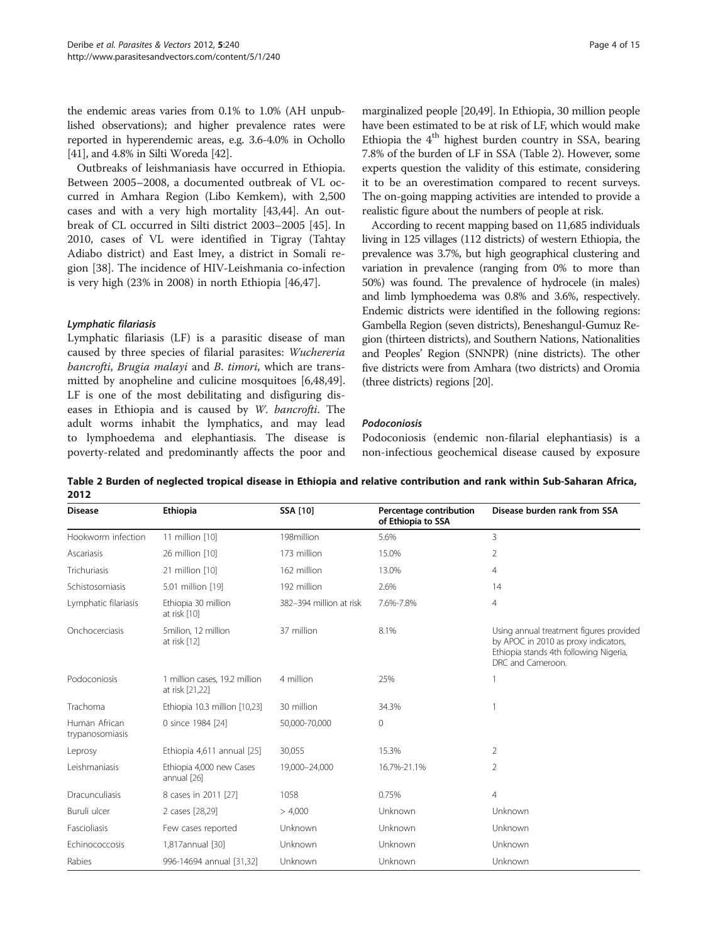the endemic areas varies from 0.1% to 1.0% (AH unpublished observations); and higher prevalence rates were reported in hyperendemic areas, e.g. 3.6-4.0% in Ochollo [[41](#page-13-0)], and 4.8% in Silti Woreda [[42](#page-13-0)].

Outbreaks of leishmaniasis have occurred in Ethiopia. Between 2005–2008, a documented outbreak of VL occurred in Amhara Region (Libo Kemkem), with 2,500 cases and with a very high mortality [\[43,44](#page-13-0)]. An outbreak of CL occurred in Silti district 2003–2005 [\[45](#page-13-0)]. In 2010, cases of VL were identified in Tigray (Tahtay Adiabo district) and East lmey, a district in Somali region [[38\]](#page-13-0). The incidence of HIV-Leishmania co-infection is very high (23% in 2008) in north Ethiopia [[46,47](#page-13-0)].

#### Lymphatic filariasis

Lymphatic filariasis (LF) is a parasitic disease of man caused by three species of filarial parasites: Wuchereria bancrofti, Brugia malayi and B. timori, which are transmitted by anopheline and culicine mosquitoes [\[6,48,49](#page-13-0)]. LF is one of the most debilitating and disfiguring diseases in Ethiopia and is caused by W. bancrofti. The adult worms inhabit the lymphatics, and may lead to lymphoedema and elephantiasis. The disease is poverty-related and predominantly affects the poor and

marginalized people [[20,49\]](#page-13-0). In Ethiopia, 30 million people have been estimated to be at risk of LF, which would make Ethiopia the  $4<sup>th</sup>$  highest burden country in SSA, bearing 7.8% of the burden of LF in SSA (Table 2). However, some experts question the validity of this estimate, considering it to be an overestimation compared to recent surveys. The on-going mapping activities are intended to provide a realistic figure about the numbers of people at risk.

According to recent mapping based on 11,685 individuals living in 125 villages (112 districts) of western Ethiopia, the prevalence was 3.7%, but high geographical clustering and variation in prevalence (ranging from 0% to more than 50%) was found. The prevalence of hydrocele (in males) and limb lymphoedema was 0.8% and 3.6%, respectively. Endemic districts were identified in the following regions: Gambella Region (seven districts), Beneshangul-Gumuz Region (thirteen districts), and Southern Nations, Nationalities and Peoples' Region (SNNPR) (nine districts). The other five districts were from Amhara (two districts) and Oromia (three districts) regions [[20](#page-13-0)].

#### Podoconiosis

Podoconiosis (endemic non-filarial elephantiasis) is a non-infectious geochemical disease caused by exposure

Table 2 Burden of neglected tropical disease in Ethiopia and relative contribution and rank within Sub-Saharan Africa, 2012

| <b>Disease</b>                   | Ethiopia                                         | <b>SSA [10]</b>         | Percentage contribution<br>of Ethiopia to SSA | Disease burden rank from SSA                                                                                                                   |
|----------------------------------|--------------------------------------------------|-------------------------|-----------------------------------------------|------------------------------------------------------------------------------------------------------------------------------------------------|
| Hookworm infection               | 11 million [10]                                  | 198million              | 5.6%                                          | 3                                                                                                                                              |
| Ascariasis                       | 26 million [10]                                  | 173 million             | 15.0%                                         | 2                                                                                                                                              |
| Trichuriasis                     | 21 million [10]                                  | 162 million             | 13.0%                                         | 4                                                                                                                                              |
| Schistosomiasis                  | 5.01 million [19]                                | 192 million             | 2.6%                                          | 14                                                                                                                                             |
| Lymphatic filariasis             | Ethiopia 30 million<br>at risk [10]              | 382-394 million at risk | 7.6%-7.8%                                     | $\overline{4}$                                                                                                                                 |
| Onchocerciasis                   | 5milion, 12 million<br>at risk [12]              | 37 million              | 8.1%                                          | Using annual treatment figures provided<br>by APOC in 2010 as proxy indicators,<br>Ethiopia stands 4th following Nigeria,<br>DRC and Cameroon. |
| Podoconiosis                     | 1 million cases, 19.2 million<br>at risk [21,22] | 4 million               | 25%                                           |                                                                                                                                                |
| Trachoma                         | Ethiopia 10.3 million [10,23]                    | 30 million              | 34.3%                                         |                                                                                                                                                |
| Human African<br>trypanosomiasis | 0 since 1984 [24]                                | 50,000-70,000           | $\Omega$                                      |                                                                                                                                                |
| Leprosy                          | Ethiopia 4,611 annual [25]                       | 30,055                  | 15.3%                                         | 2                                                                                                                                              |
| Leishmaniasis                    | Ethiopia 4,000 new Cases<br>annual [26]          | 19,000-24,000           | 16.7%-21.1%                                   | 2                                                                                                                                              |
| Dracunculiasis                   | 8 cases in 2011 [27]                             | 1058                    | 0.75%                                         | 4                                                                                                                                              |
| Buruli ulcer                     | 2 cases [28,29]                                  | > 4,000                 | Unknown                                       | Unknown                                                                                                                                        |
| Fascioliasis                     | Few cases reported                               | Unknown                 | Unknown                                       | Unknown                                                                                                                                        |
| Echinococcosis                   | 1,817annual [30]                                 | Unknown                 | Unknown                                       | Unknown                                                                                                                                        |
| Rabies                           | 996-14694 annual [31,32]                         | Unknown                 | Unknown                                       | Unknown                                                                                                                                        |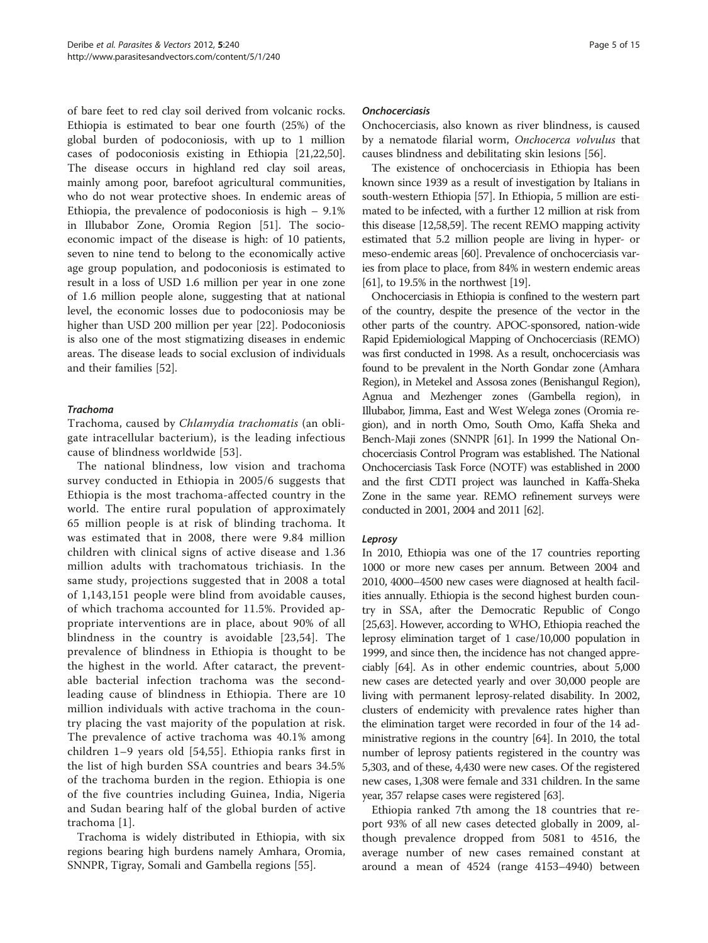of bare feet to red clay soil derived from volcanic rocks. Ethiopia is estimated to bear one fourth (25%) of the global burden of podoconiosis, with up to 1 million cases of podoconiosis existing in Ethiopia [\[21,22,50](#page-13-0)]. The disease occurs in highland red clay soil areas, mainly among poor, barefoot agricultural communities, who do not wear protective shoes. In endemic areas of Ethiopia, the prevalence of podoconiosis is high – 9.1% in Illubabor Zone, Oromia Region [\[51](#page-13-0)]. The socioeconomic impact of the disease is high: of 10 patients, seven to nine tend to belong to the economically active age group population, and podoconiosis is estimated to result in a loss of USD 1.6 million per year in one zone of 1.6 million people alone, suggesting that at national level, the economic losses due to podoconiosis may be higher than USD 200 million per year [[22](#page-13-0)]. Podoconiosis is also one of the most stigmatizing diseases in endemic areas. The disease leads to social exclusion of individuals and their families [\[52\]](#page-14-0).

### Trachoma

Trachoma, caused by Chlamydia trachomatis (an obligate intracellular bacterium), is the leading infectious cause of blindness worldwide [[53\]](#page-14-0).

The national blindness, low vision and trachoma survey conducted in Ethiopia in 2005/6 suggests that Ethiopia is the most trachoma-affected country in the world. The entire rural population of approximately 65 million people is at risk of blinding trachoma. It was estimated that in 2008, there were 9.84 million children with clinical signs of active disease and 1.36 million adults with trachomatous trichiasis. In the same study, projections suggested that in 2008 a total of 1,143,151 people were blind from avoidable causes, of which trachoma accounted for 11.5%. Provided appropriate interventions are in place, about 90% of all blindness in the country is avoidable [\[23](#page-13-0),[54\]](#page-14-0). The prevalence of blindness in Ethiopia is thought to be the highest in the world. After cataract, the preventable bacterial infection trachoma was the secondleading cause of blindness in Ethiopia. There are 10 million individuals with active trachoma in the country placing the vast majority of the population at risk. The prevalence of active trachoma was 40.1% among children 1–9 years old [\[54,55](#page-14-0)]. Ethiopia ranks first in the list of high burden SSA countries and bears 34.5% of the trachoma burden in the region. Ethiopia is one of the five countries including Guinea, India, Nigeria and Sudan bearing half of the global burden of active trachoma [[1\]](#page-12-0).

Trachoma is widely distributed in Ethiopia, with six regions bearing high burdens namely Amhara, Oromia, SNNPR, Tigray, Somali and Gambella regions [[55\]](#page-14-0).

#### **Onchocerciasis**

Onchocerciasis, also known as river blindness, is caused by a nematode filarial worm, Onchocerca volvulus that causes blindness and debilitating skin lesions [[56\]](#page-14-0).

The existence of onchocerciasis in Ethiopia has been known since 1939 as a result of investigation by Italians in south-western Ethiopia [\[57\]](#page-14-0). In Ethiopia, 5 million are estimated to be infected, with a further 12 million at risk from this disease [\[12,](#page-13-0)[58,59\]](#page-14-0). The recent REMO mapping activity estimated that 5.2 million people are living in hyper- or meso-endemic areas [[60](#page-14-0)]. Prevalence of onchocerciasis varies from place to place, from 84% in western endemic areas [[61](#page-14-0)], to 19.5% in the northwest [[19](#page-13-0)].

Onchocerciasis in Ethiopia is confined to the western part of the country, despite the presence of the vector in the other parts of the country. APOC-sponsored, nation-wide Rapid Epidemiological Mapping of Onchocerciasis (REMO) was first conducted in 1998. As a result, onchocerciasis was found to be prevalent in the North Gondar zone (Amhara Region), in Metekel and Assosa zones (Benishangul Region), Agnua and Mezhenger zones (Gambella region), in Illubabor, Jimma, East and West Welega zones (Oromia region), and in north Omo, South Omo, Kaffa Sheka and Bench-Maji zones (SNNPR [\[61\]](#page-14-0). In 1999 the National Onchocerciasis Control Program was established. The National Onchocerciasis Task Force (NOTF) was established in 2000 and the first CDTI project was launched in Kaffa-Sheka Zone in the same year. REMO refinement surveys were conducted in 2001, 2004 and 2011 [\[62\]](#page-14-0).

#### Leprosy

In 2010, Ethiopia was one of the 17 countries reporting 1000 or more new cases per annum. Between 2004 and 2010, 4000–4500 new cases were diagnosed at health facilities annually. Ethiopia is the second highest burden country in SSA, after the Democratic Republic of Congo [[25](#page-13-0)[,63\]](#page-14-0). However, according to WHO, Ethiopia reached the leprosy elimination target of 1 case/10,000 population in 1999, and since then, the incidence has not changed appreciably [\[64\]](#page-14-0). As in other endemic countries, about 5,000 new cases are detected yearly and over 30,000 people are living with permanent leprosy-related disability. In 2002, clusters of endemicity with prevalence rates higher than the elimination target were recorded in four of the 14 administrative regions in the country [[64](#page-14-0)]. In 2010, the total number of leprosy patients registered in the country was 5,303, and of these, 4,430 were new cases. Of the registered new cases, 1,308 were female and 331 children. In the same year, 357 relapse cases were registered [\[63\]](#page-14-0).

Ethiopia ranked 7th among the 18 countries that report 93% of all new cases detected globally in 2009, although prevalence dropped from 5081 to 4516, the average number of new cases remained constant at around a mean of 4524 (range 4153–4940) between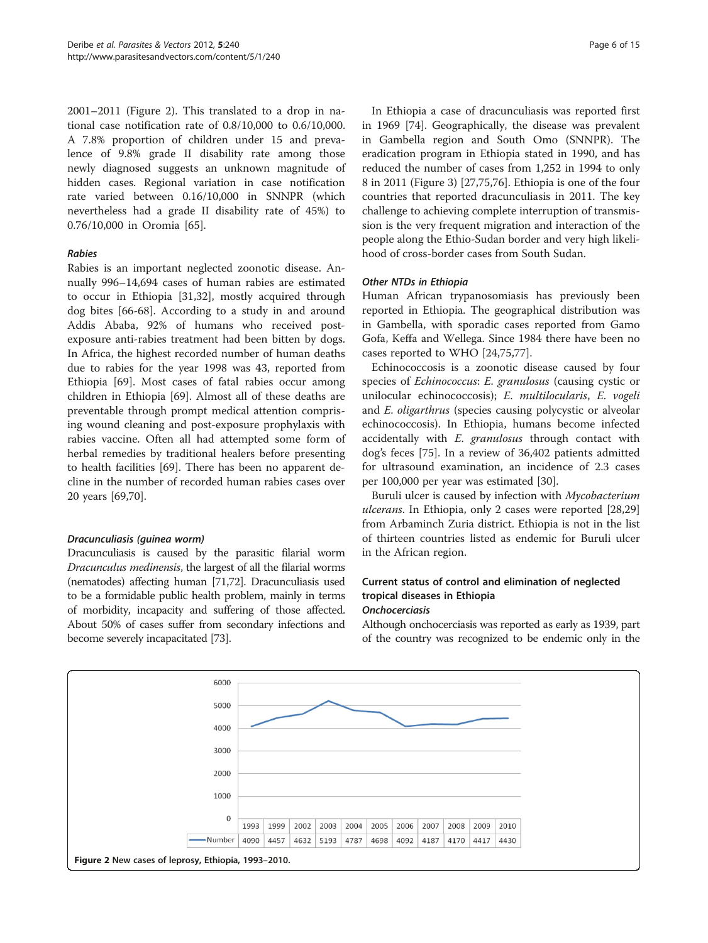2001–2011 (Figure 2). This translated to a drop in national case notification rate of 0.8/10,000 to 0.6/10,000. A 7.8% proportion of children under 15 and prevalence of 9.8% grade II disability rate among those newly diagnosed suggests an unknown magnitude of hidden cases. Regional variation in case notification rate varied between 0.16/10,000 in SNNPR (which nevertheless had a grade II disability rate of 45%) to 0.76/10,000 in Oromia [\[65](#page-14-0)].

#### Rabies

Rabies is an important neglected zoonotic disease. Annually 996–14,694 cases of human rabies are estimated to occur in Ethiopia [\[31,32\]](#page-13-0), mostly acquired through dog bites [[66](#page-14-0)-[68\]](#page-14-0). According to a study in and around Addis Ababa, 92% of humans who received postexposure anti-rabies treatment had been bitten by dogs. In Africa, the highest recorded number of human deaths due to rabies for the year 1998 was 43, reported from Ethiopia [[69\]](#page-14-0). Most cases of fatal rabies occur among children in Ethiopia [\[69](#page-14-0)]. Almost all of these deaths are preventable through prompt medical attention comprising wound cleaning and post-exposure prophylaxis with rabies vaccine. Often all had attempted some form of herbal remedies by traditional healers before presenting to health facilities [\[69](#page-14-0)]. There has been no apparent decline in the number of recorded human rabies cases over 20 years [\[69,70\]](#page-14-0).

### Dracunculiasis (guinea worm)

Dracunculiasis is caused by the parasitic filarial worm Dracunculus medinensis, the largest of all the filarial worms (nematodes) affecting human [\[71,72](#page-14-0)]. Dracunculiasis used to be a formidable public health problem, mainly in terms of morbidity, incapacity and suffering of those affected. About 50% of cases suffer from secondary infections and become severely incapacitated [\[73\]](#page-14-0).

In Ethiopia a case of dracunculiasis was reported first in 1969 [\[74\]](#page-14-0). Geographically, the disease was prevalent in Gambella region and South Omo (SNNPR). The eradication program in Ethiopia stated in 1990, and has reduced the number of cases from 1,252 in 1994 to only 8 in 2011 (Figure [3\)](#page-6-0) [[27](#page-13-0),[75](#page-14-0),[76](#page-14-0)]. Ethiopia is one of the four countries that reported dracunculiasis in 2011. The key challenge to achieving complete interruption of transmission is the very frequent migration and interaction of the people along the Ethio-Sudan border and very high likelihood of cross-border cases from South Sudan.

#### Other NTDs in Ethiopia

Human African trypanosomiasis has previously been reported in Ethiopia. The geographical distribution was in Gambella, with sporadic cases reported from Gamo Gofa, Keffa and Wellega. Since 1984 there have been no cases reported to WHO [[24,](#page-13-0)[75,77\]](#page-14-0).

Echinococcosis is a zoonotic disease caused by four species of *Echinococcus: E. granulosus* (causing cystic or unilocular echinococcosis); E. multilocularis, E. vogeli and E. oligarthrus (species causing polycystic or alveolar echinococcosis). In Ethiopia, humans become infected accidentally with E. granulosus through contact with dog's feces [\[75](#page-14-0)]. In a review of 36,402 patients admitted for ultrasound examination, an incidence of 2.3 cases per 100,000 per year was estimated [\[30\]](#page-13-0).

Buruli ulcer is caused by infection with Mycobacterium ulcerans. In Ethiopia, only 2 cases were reported [[28](#page-13-0),[29](#page-13-0)] from Arbaminch Zuria district. Ethiopia is not in the list of thirteen countries listed as endemic for Buruli ulcer in the African region.

# Current status of control and elimination of neglected tropical diseases in Ethiopia

## **Onchocerciasis**

Although onchocerciasis was reported as early as 1939, part of the country was recognized to be endemic only in the

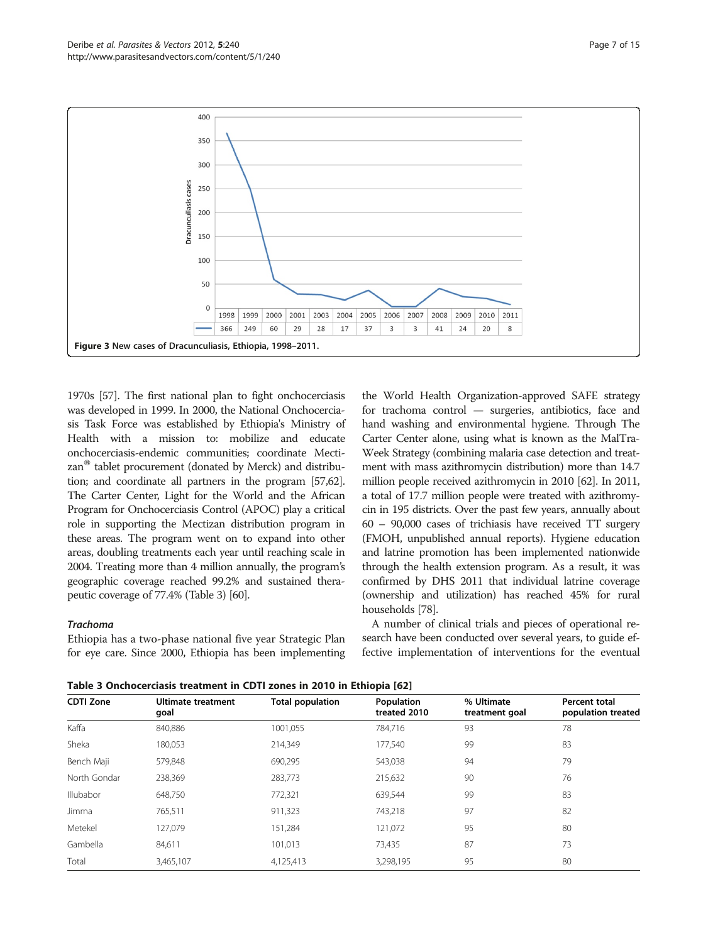<span id="page-6-0"></span>

1970s [\[57\]](#page-14-0). The first national plan to fight onchocerciasis was developed in 1999. In 2000, the National Onchocerciasis Task Force was established by Ethiopia's Ministry of Health with a mission to: mobilize and educate onchocerciasis-endemic communities; coordinate Mectizan<sup>®</sup> tablet procurement (donated by Merck) and distribution; and coordinate all partners in the program [[57,62](#page-14-0)]. The Carter Center, Light for the World and the African Program for Onchocerciasis Control (APOC) play a critical role in supporting the Mectizan distribution program in these areas. The program went on to expand into other areas, doubling treatments each year until reaching scale in 2004. Treating more than 4 million annually, the program's geographic coverage reached 99.2% and sustained therapeutic coverage of 77.4% (Table 3) [[60](#page-14-0)].

### Trachoma

Ethiopia has a two-phase national five year Strategic Plan for eye care. Since 2000, Ethiopia has been implementing

the World Health Organization-approved SAFE strategy for trachoma control — surgeries, antibiotics, face and hand washing and environmental hygiene. Through The Carter Center alone, using what is known as the MalTra-Week Strategy (combining malaria case detection and treatment with mass azithromycin distribution) more than 14.7 million people received azithromycin in 2010 [[62](#page-14-0)]. In 2011, a total of 17.7 million people were treated with azithromycin in 195 districts. Over the past few years, annually about 60 – 90,000 cases of trichiasis have received TT surgery (FMOH, unpublished annual reports). Hygiene education and latrine promotion has been implemented nationwide through the health extension program. As a result, it was confirmed by DHS 2011 that individual latrine coverage (ownership and utilization) has reached 45% for rural households [\[78\]](#page-14-0).

A number of clinical trials and pieces of operational research have been conducted over several years, to guide effective implementation of interventions for the eventual

Table 3 Onchocerciasis treatment in CDTI zones in 2010 in Ethiopia [\[62\]](#page-14-0)

| <b>CDTI Zone</b> | <b>Ultimate treatment</b><br>goal | <b>Total population</b> | Population<br>treated 2010 | % Ultimate<br>treatment goal | <b>Percent total</b><br>population treated |
|------------------|-----------------------------------|-------------------------|----------------------------|------------------------------|--------------------------------------------|
| Kaffa            | 840,886                           | 1001,055                | 784,716                    | 93                           | 78                                         |
| Sheka            | 180,053                           | 214,349                 | 177.540                    | 99                           | 83                                         |
| Bench Maji       | 579,848                           | 690,295                 | 543,038                    | 94                           | 79                                         |
| North Gondar     | 238,369                           | 283,773                 | 215,632                    | 90                           | 76                                         |
| <b>Illubabor</b> | 648,750                           | 772,321                 | 639,544                    | 99                           | 83                                         |
| Jimma            | 765,511                           | 911,323                 | 743,218                    | 97                           | 82                                         |
| Metekel          | 127,079                           | 151,284                 | 121,072                    | 95                           | 80                                         |
| Gambella         | 84,611                            | 101.013                 | 73,435                     | 87                           | 73                                         |
| Total            | 3,465,107                         | 4,125,413               | 3,298,195                  | 95                           | 80                                         |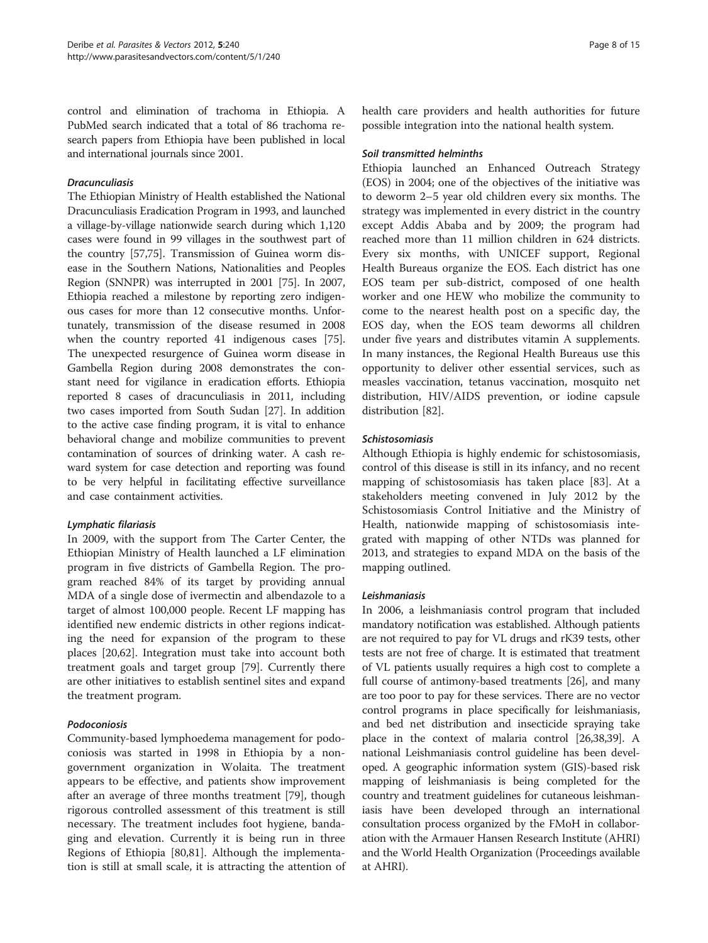control and elimination of trachoma in Ethiopia. A PubMed search indicated that a total of 86 trachoma research papers from Ethiopia have been published in local and international journals since 2001.

#### Dracunculiasis

The Ethiopian Ministry of Health established the National Dracunculiasis Eradication Program in 1993, and launched a village-by-village nationwide search during which 1,120 cases were found in 99 villages in the southwest part of the country [\[57,75\]](#page-14-0). Transmission of Guinea worm disease in the Southern Nations, Nationalities and Peoples Region (SNNPR) was interrupted in 2001 [\[75\]](#page-14-0). In 2007, Ethiopia reached a milestone by reporting zero indigenous cases for more than 12 consecutive months. Unfortunately, transmission of the disease resumed in 2008 when the country reported 41 indigenous cases [[75](#page-14-0)]. The unexpected resurgence of Guinea worm disease in Gambella Region during 2008 demonstrates the constant need for vigilance in eradication efforts. Ethiopia reported 8 cases of dracunculiasis in 2011, including two cases imported from South Sudan [[27](#page-13-0)]. In addition to the active case finding program, it is vital to enhance behavioral change and mobilize communities to prevent contamination of sources of drinking water. A cash reward system for case detection and reporting was found to be very helpful in facilitating effective surveillance and case containment activities.

### Lymphatic filariasis

In 2009, with the support from The Carter Center, the Ethiopian Ministry of Health launched a LF elimination program in five districts of Gambella Region. The program reached 84% of its target by providing annual MDA of a single dose of ivermectin and albendazole to a target of almost 100,000 people. Recent LF mapping has identified new endemic districts in other regions indicating the need for expansion of the program to these places [[20,](#page-13-0)[62\]](#page-14-0). Integration must take into account both treatment goals and target group [[79\]](#page-14-0). Currently there are other initiatives to establish sentinel sites and expand the treatment program.

### Podoconiosis

Community-based lymphoedema management for podoconiosis was started in 1998 in Ethiopia by a nongovernment organization in Wolaita. The treatment appears to be effective, and patients show improvement after an average of three months treatment [[79\]](#page-14-0), though rigorous controlled assessment of this treatment is still necessary. The treatment includes foot hygiene, bandaging and elevation. Currently it is being run in three Regions of Ethiopia [[80,81\]](#page-14-0). Although the implementation is still at small scale, it is attracting the attention of health care providers and health authorities for future possible integration into the national health system.

#### Soil transmitted helminths

Ethiopia launched an Enhanced Outreach Strategy (EOS) in 2004; one of the objectives of the initiative was to deworm 2–5 year old children every six months. The strategy was implemented in every district in the country except Addis Ababa and by 2009; the program had reached more than 11 million children in 624 districts. Every six months, with UNICEF support, Regional Health Bureaus organize the EOS. Each district has one EOS team per sub-district, composed of one health worker and one HEW who mobilize the community to come to the nearest health post on a specific day, the EOS day, when the EOS team deworms all children under five years and distributes vitamin A supplements. In many instances, the Regional Health Bureaus use this opportunity to deliver other essential services, such as measles vaccination, tetanus vaccination, mosquito net distribution, HIV/AIDS prevention, or iodine capsule distribution [\[82](#page-14-0)].

#### Schistosomiasis

Although Ethiopia is highly endemic for schistosomiasis, control of this disease is still in its infancy, and no recent mapping of schistosomiasis has taken place [\[83](#page-14-0)]. At a stakeholders meeting convened in July 2012 by the Schistosomiasis Control Initiative and the Ministry of Health, nationwide mapping of schistosomiasis integrated with mapping of other NTDs was planned for 2013, and strategies to expand MDA on the basis of the mapping outlined.

#### Leishmaniasis

In 2006, a leishmaniasis control program that included mandatory notification was established. Although patients are not required to pay for VL drugs and rK39 tests, other tests are not free of charge. It is estimated that treatment of VL patients usually requires a high cost to complete a full course of antimony-based treatments [[26](#page-13-0)], and many are too poor to pay for these services. There are no vector control programs in place specifically for leishmaniasis, and bed net distribution and insecticide spraying take place in the context of malaria control [\[26,38,39](#page-13-0)]. A national Leishmaniasis control guideline has been developed. A geographic information system (GIS)-based risk mapping of leishmaniasis is being completed for the country and treatment guidelines for cutaneous leishmaniasis have been developed through an international consultation process organized by the FMoH in collaboration with the Armauer Hansen Research Institute (AHRI) and the World Health Organization (Proceedings available at AHRI).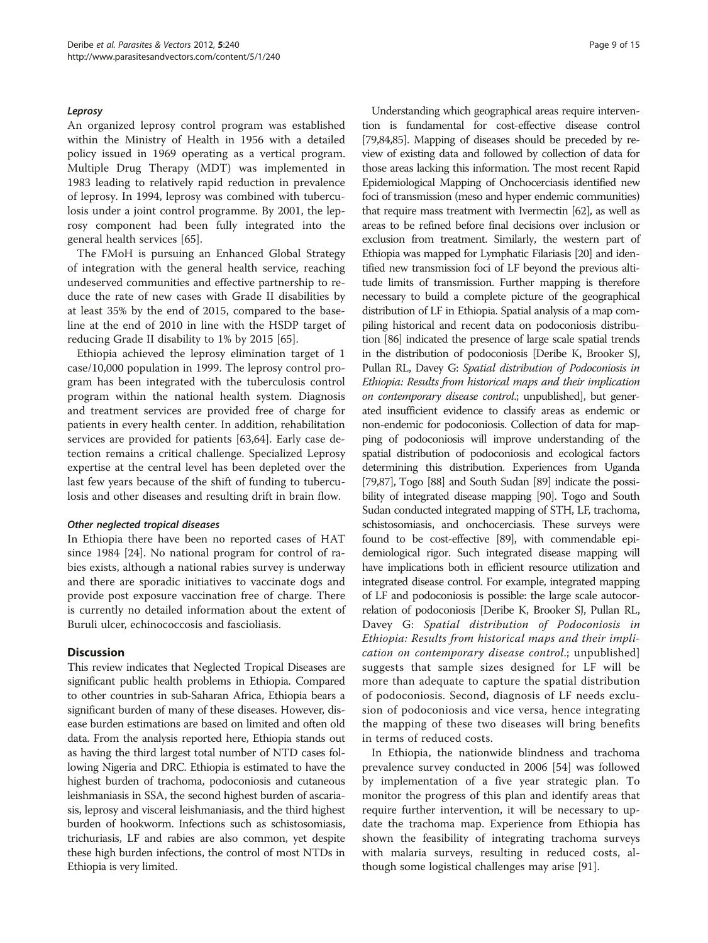#### Leprosy

An organized leprosy control program was established within the Ministry of Health in 1956 with a detailed policy issued in 1969 operating as a vertical program. Multiple Drug Therapy (MDT) was implemented in 1983 leading to relatively rapid reduction in prevalence of leprosy. In 1994, leprosy was combined with tuberculosis under a joint control programme. By 2001, the leprosy component had been fully integrated into the general health services [\[65](#page-14-0)].

The FMoH is pursuing an Enhanced Global Strategy of integration with the general health service, reaching undeserved communities and effective partnership to reduce the rate of new cases with Grade II disabilities by at least 35% by the end of 2015, compared to the baseline at the end of 2010 in line with the HSDP target of reducing Grade II disability to 1% by 2015 [\[65\]](#page-14-0).

Ethiopia achieved the leprosy elimination target of 1 case/10,000 population in 1999. The leprosy control program has been integrated with the tuberculosis control program within the national health system. Diagnosis and treatment services are provided free of charge for patients in every health center. In addition, rehabilitation services are provided for patients [[63,64\]](#page-14-0). Early case detection remains a critical challenge. Specialized Leprosy expertise at the central level has been depleted over the last few years because of the shift of funding to tuberculosis and other diseases and resulting drift in brain flow.

#### Other neglected tropical diseases

In Ethiopia there have been no reported cases of HAT since 1984 [[24](#page-13-0)]. No national program for control of rabies exists, although a national rabies survey is underway and there are sporadic initiatives to vaccinate dogs and provide post exposure vaccination free of charge. There is currently no detailed information about the extent of Buruli ulcer, echinococcosis and fascioliasis.

### **Discussion**

This review indicates that Neglected Tropical Diseases are significant public health problems in Ethiopia. Compared to other countries in sub-Saharan Africa, Ethiopia bears a significant burden of many of these diseases. However, disease burden estimations are based on limited and often old data. From the analysis reported here, Ethiopia stands out as having the third largest total number of NTD cases following Nigeria and DRC. Ethiopia is estimated to have the highest burden of trachoma, podoconiosis and cutaneous leishmaniasis in SSA, the second highest burden of ascariasis, leprosy and visceral leishmaniasis, and the third highest burden of hookworm. Infections such as schistosomiasis, trichuriasis, LF and rabies are also common, yet despite these high burden infections, the control of most NTDs in Ethiopia is very limited.

Understanding which geographical areas require intervention is fundamental for cost-effective disease control [[79,84,85](#page-14-0)]. Mapping of diseases should be preceded by review of existing data and followed by collection of data for those areas lacking this information. The most recent Rapid Epidemiological Mapping of Onchocerciasis identified new foci of transmission (meso and hyper endemic communities) that require mass treatment with Ivermectin [\[62](#page-14-0)], as well as areas to be refined before final decisions over inclusion or exclusion from treatment. Similarly, the western part of Ethiopia was mapped for Lymphatic Filariasis [\[20\]](#page-13-0) and identified new transmission foci of LF beyond the previous altitude limits of transmission. Further mapping is therefore necessary to build a complete picture of the geographical distribution of LF in Ethiopia. Spatial analysis of a map compiling historical and recent data on podoconiosis distribution [\[86\]](#page-14-0) indicated the presence of large scale spatial trends in the distribution of podoconiosis [Deribe K, Brooker SJ, Pullan RL, Davey G: Spatial distribution of Podoconiosis in Ethiopia: Results from historical maps and their implication on contemporary disease control.; unpublished], but generated insufficient evidence to classify areas as endemic or non-endemic for podoconiosis. Collection of data for mapping of podoconiosis will improve understanding of the spatial distribution of podoconiosis and ecological factors determining this distribution. Experiences from Uganda [[79,87](#page-14-0)], Togo [\[88\]](#page-14-0) and South Sudan [[89\]](#page-14-0) indicate the possibility of integrated disease mapping [\[90\]](#page-14-0). Togo and South Sudan conducted integrated mapping of STH, LF, trachoma, schistosomiasis, and onchocerciasis. These surveys were found to be cost-effective [\[89\]](#page-14-0), with commendable epidemiological rigor. Such integrated disease mapping will have implications both in efficient resource utilization and integrated disease control. For example, integrated mapping of LF and podoconiosis is possible: the large scale autocorrelation of podoconiosis [Deribe K, Brooker SJ, Pullan RL, Davey G: Spatial distribution of Podoconiosis in Ethiopia: Results from historical maps and their implication on contemporary disease control.; unpublished] suggests that sample sizes designed for LF will be more than adequate to capture the spatial distribution of podoconiosis. Second, diagnosis of LF needs exclusion of podoconiosis and vice versa, hence integrating the mapping of these two diseases will bring benefits in terms of reduced costs.

In Ethiopia, the nationwide blindness and trachoma prevalence survey conducted in 2006 [[54\]](#page-14-0) was followed by implementation of a five year strategic plan. To monitor the progress of this plan and identify areas that require further intervention, it will be necessary to update the trachoma map. Experience from Ethiopia has shown the feasibility of integrating trachoma surveys with malaria surveys, resulting in reduced costs, although some logistical challenges may arise [\[91](#page-14-0)].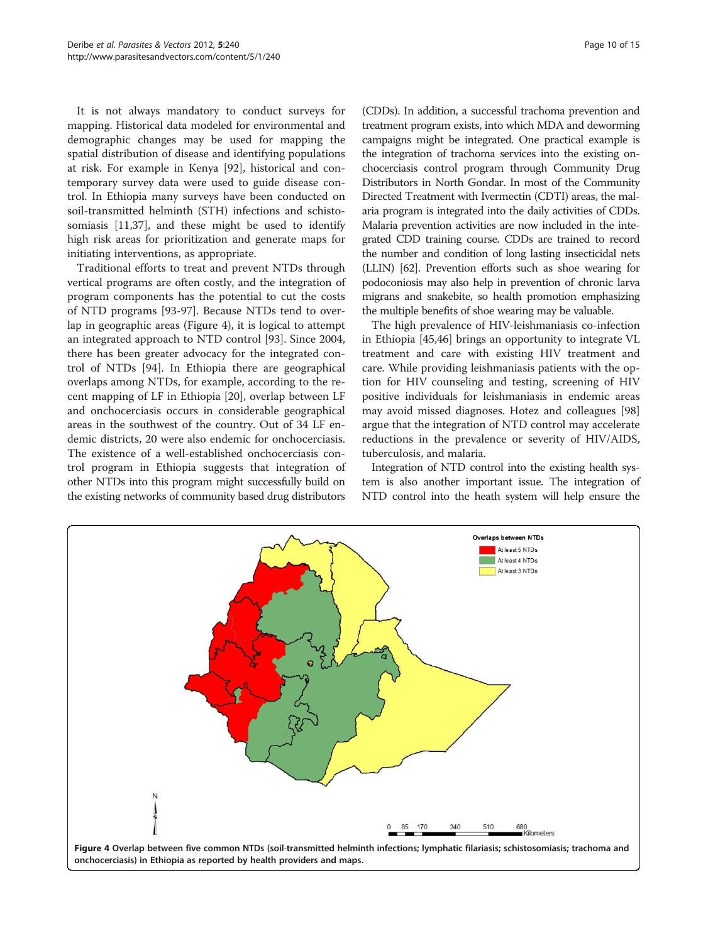It is not always mandatory to conduct surveys for mapping. Historical data modeled for environmental and demographic changes may be used for mapping the spatial distribution of disease and identifying populations at risk. For example in Kenya [\[92](#page-14-0)], historical and contemporary survey data were used to guide disease control. In Ethiopia many surveys have been conducted on soil-transmitted helminth (STH) infections and schistosomiasis [\[11,37](#page-13-0)], and these might be used to identify high risk areas for prioritization and generate maps for initiating interventions, as appropriate.

Traditional efforts to treat and prevent NTDs through vertical programs are often costly, and the integration of program components has the potential to cut the costs of NTD programs [[93-97\]](#page-14-0). Because NTDs tend to overlap in geographic areas (Figure 4), it is logical to attempt an integrated approach to NTD control [[93\]](#page-14-0). Since 2004, there has been greater advocacy for the integrated control of NTDs [[94\]](#page-14-0). In Ethiopia there are geographical overlaps among NTDs, for example, according to the recent mapping of LF in Ethiopia [[20\]](#page-13-0), overlap between LF and onchocerciasis occurs in considerable geographical areas in the southwest of the country. Out of 34 LF endemic districts, 20 were also endemic for onchocerciasis. The existence of a well-established onchocerciasis control program in Ethiopia suggests that integration of other NTDs into this program might successfully build on the existing networks of community based drug distributors (CDDs). In addition, a successful trachoma prevention and treatment program exists, into which MDA and deworming campaigns might be integrated. One practical example is the integration of trachoma services into the existing onchocerciasis control program through Community Drug Distributors in North Gondar. In most of the Community Directed Treatment with Ivermectin (CDTI) areas, the malaria program is integrated into the daily activities of CDDs. Malaria prevention activities are now included in the integrated CDD training course. CDDs are trained to record the number and condition of long lasting insecticidal nets (LLIN) [\[62\]](#page-14-0). Prevention efforts such as shoe wearing for podoconiosis may also help in prevention of chronic larva migrans and snakebite, so health promotion emphasizing the multiple benefits of shoe wearing may be valuable.

The high prevalence of HIV-leishmaniasis co-infection in Ethiopia [[45,46\]](#page-13-0) brings an opportunity to integrate VL treatment and care with existing HIV treatment and care. While providing leishmaniasis patients with the option for HIV counseling and testing, screening of HIV positive individuals for leishmaniasis in endemic areas may avoid missed diagnoses. Hotez and colleagues [[98](#page-14-0)] argue that the integration of NTD control may accelerate reductions in the prevalence or severity of HIV/AIDS, tuberculosis, and malaria.

Integration of NTD control into the existing health system is also another important issue. The integration of NTD control into the heath system will help ensure the

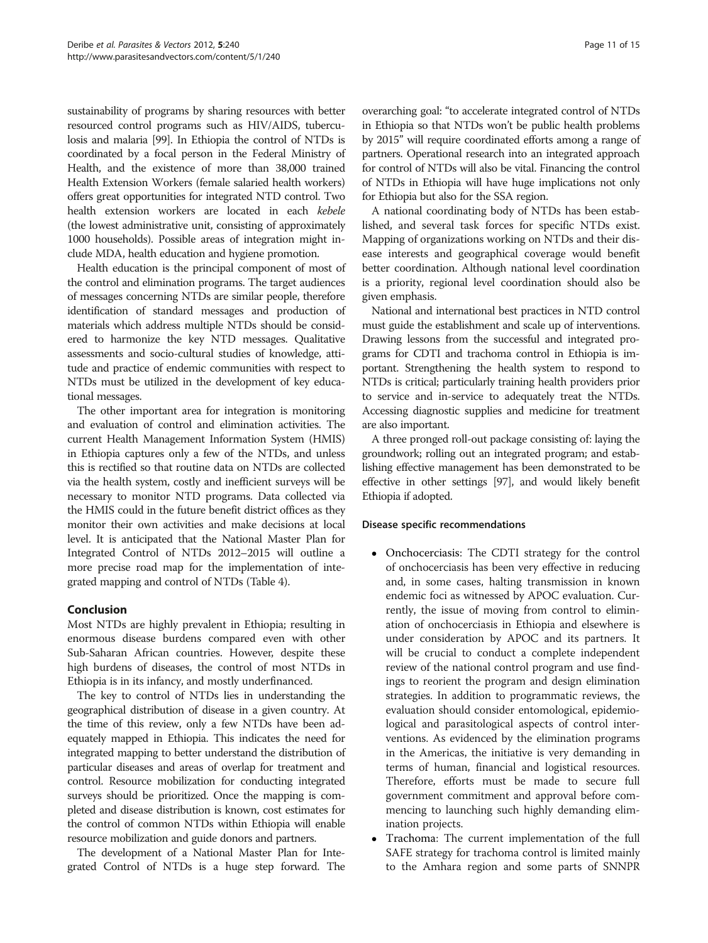sustainability of programs by sharing resources with better resourced control programs such as HIV/AIDS, tuberculosis and malaria [\[99](#page-14-0)]. In Ethiopia the control of NTDs is coordinated by a focal person in the Federal Ministry of Health, and the existence of more than 38,000 trained Health Extension Workers (female salaried health workers) offers great opportunities for integrated NTD control. Two health extension workers are located in each kebele (the lowest administrative unit, consisting of approximately 1000 households). Possible areas of integration might include MDA, health education and hygiene promotion.

Health education is the principal component of most of the control and elimination programs. The target audiences of messages concerning NTDs are similar people, therefore identification of standard messages and production of materials which address multiple NTDs should be considered to harmonize the key NTD messages. Qualitative assessments and socio-cultural studies of knowledge, attitude and practice of endemic communities with respect to NTDs must be utilized in the development of key educational messages.

The other important area for integration is monitoring and evaluation of control and elimination activities. The current Health Management Information System (HMIS) in Ethiopia captures only a few of the NTDs, and unless this is rectified so that routine data on NTDs are collected via the health system, costly and inefficient surveys will be necessary to monitor NTD programs. Data collected via the HMIS could in the future benefit district offices as they monitor their own activities and make decisions at local level. It is anticipated that the National Master Plan for Integrated Control of NTDs 2012–2015 will outline a more precise road map for the implementation of integrated mapping and control of NTDs (Table [4](#page-11-0)).

# Conclusion

Most NTDs are highly prevalent in Ethiopia; resulting in enormous disease burdens compared even with other Sub-Saharan African countries. However, despite these high burdens of diseases, the control of most NTDs in Ethiopia is in its infancy, and mostly underfinanced.

The key to control of NTDs lies in understanding the geographical distribution of disease in a given country. At the time of this review, only a few NTDs have been adequately mapped in Ethiopia. This indicates the need for integrated mapping to better understand the distribution of particular diseases and areas of overlap for treatment and control. Resource mobilization for conducting integrated surveys should be prioritized. Once the mapping is completed and disease distribution is known, cost estimates for the control of common NTDs within Ethiopia will enable resource mobilization and guide donors and partners.

The development of a National Master Plan for Integrated Control of NTDs is a huge step forward. The

overarching goal: "to accelerate integrated control of NTDs in Ethiopia so that NTDs won't be public health problems by 2015" will require coordinated efforts among a range of partners. Operational research into an integrated approach for control of NTDs will also be vital. Financing the control of NTDs in Ethiopia will have huge implications not only for Ethiopia but also for the SSA region.

A national coordinating body of NTDs has been established, and several task forces for specific NTDs exist. Mapping of organizations working on NTDs and their disease interests and geographical coverage would benefit better coordination. Although national level coordination is a priority, regional level coordination should also be given emphasis.

National and international best practices in NTD control must guide the establishment and scale up of interventions. Drawing lessons from the successful and integrated programs for CDTI and trachoma control in Ethiopia is important. Strengthening the health system to respond to NTDs is critical; particularly training health providers prior to service and in-service to adequately treat the NTDs. Accessing diagnostic supplies and medicine for treatment are also important.

A three pronged roll-out package consisting of: laying the groundwork; rolling out an integrated program; and establishing effective management has been demonstrated to be effective in other settings [\[97](#page-14-0)], and would likely benefit Ethiopia if adopted.

### Disease specific recommendations

- Onchocerciasis: The CDTI strategy for the control of onchocerciasis has been very effective in reducing and, in some cases, halting transmission in known endemic foci as witnessed by APOC evaluation. Currently, the issue of moving from control to elimination of onchocerciasis in Ethiopia and elsewhere is under consideration by APOC and its partners. It will be crucial to conduct a complete independent review of the national control program and use findings to reorient the program and design elimination strategies. In addition to programmatic reviews, the evaluation should consider entomological, epidemiological and parasitological aspects of control interventions. As evidenced by the elimination programs in the Americas, the initiative is very demanding in terms of human, financial and logistical resources. Therefore, efforts must be made to secure full government commitment and approval before commencing to launching such highly demanding elimination projects.
- Trachoma: The current implementation of the full SAFE strategy for trachoma control is limited mainly to the Amhara region and some parts of SNNPR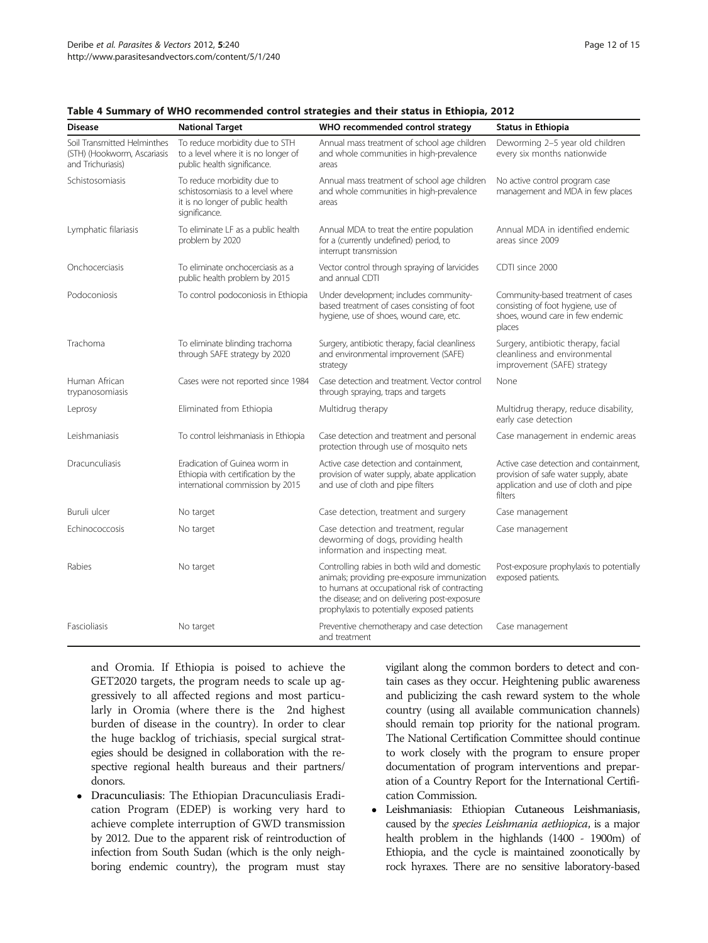| <b>Disease</b>                                                                  | <b>National Target</b>                                                                                              | WHO recommended control strategy                                                                                                                                                                                                             | <b>Status in Ethiopia</b>                                                                                                           |
|---------------------------------------------------------------------------------|---------------------------------------------------------------------------------------------------------------------|----------------------------------------------------------------------------------------------------------------------------------------------------------------------------------------------------------------------------------------------|-------------------------------------------------------------------------------------------------------------------------------------|
| Soil Transmitted Helminthes<br>(STH) (Hookworm, Ascariasis<br>and Trichuriasis) | To reduce morbidity due to STH<br>to a level where it is no longer of<br>public health significance.                | Annual mass treatment of school age children<br>and whole communities in high-prevalence<br>areas                                                                                                                                            | Deworming 2-5 year old children<br>every six months nationwide                                                                      |
| Schistosomiasis                                                                 | To reduce morbidity due to<br>schistosomiasis to a level where<br>it is no longer of public health<br>significance. | Annual mass treatment of school age children<br>and whole communities in high-prevalence<br>areas                                                                                                                                            | No active control program case<br>management and MDA in few places                                                                  |
| Lymphatic filariasis                                                            | To eliminate LF as a public health<br>problem by 2020                                                               | Annual MDA to treat the entire population<br>for a (currently undefined) period, to<br>interrupt transmission                                                                                                                                | Annual MDA in identified endemic<br>areas since 2009                                                                                |
| Onchocerciasis                                                                  | To eliminate onchocerciasis as a<br>public health problem by 2015                                                   | Vector control through spraying of larvicides<br>and annual CDTI                                                                                                                                                                             | CDTI since 2000                                                                                                                     |
| Podoconiosis                                                                    | To control podoconiosis in Ethiopia                                                                                 | Under development; includes community-<br>based treatment of cases consisting of foot<br>hygiene, use of shoes, wound care, etc.                                                                                                             | Community-based treatment of cases<br>consisting of foot hygiene, use of<br>shoes, wound care in few endemic<br>places              |
| Trachoma                                                                        | To eliminate blinding trachoma<br>through SAFE strategy by 2020                                                     | Surgery, antibiotic therapy, facial cleanliness<br>and environmental improvement (SAFE)<br>strategy                                                                                                                                          | Surgery, antibiotic therapy, facial<br>cleanliness and environmental<br>improvement (SAFE) strategy                                 |
| Human African<br>trypanosomiasis                                                | Cases were not reported since 1984                                                                                  | Case detection and treatment. Vector control<br>through spraying, traps and targets                                                                                                                                                          | None                                                                                                                                |
| Leprosy                                                                         | Eliminated from Ethiopia                                                                                            | Multidrug therapy                                                                                                                                                                                                                            | Multidrug therapy, reduce disability,<br>early case detection                                                                       |
| Leishmaniasis                                                                   | To control leishmaniasis in Ethiopia                                                                                | Case detection and treatment and personal<br>protection through use of mosquito nets                                                                                                                                                         | Case management in endemic areas                                                                                                    |
| Dracunculiasis                                                                  | Eradication of Guinea worm in<br>Ethiopia with certification by the<br>international commission by 2015             | Active case detection and containment,<br>provision of water supply, abate application<br>and use of cloth and pipe filters                                                                                                                  | Active case detection and containment,<br>provision of safe water supply, abate<br>application and use of cloth and pipe<br>filters |
| Buruli ulcer                                                                    | No target                                                                                                           | Case detection, treatment and surgery                                                                                                                                                                                                        | Case management                                                                                                                     |
| Echinococcosis                                                                  | No target                                                                                                           | Case detection and treatment, regular<br>deworming of dogs, providing health<br>information and inspecting meat.                                                                                                                             | Case management                                                                                                                     |
| Rabies                                                                          | No target                                                                                                           | Controlling rabies in both wild and domestic<br>animals; providing pre-exposure immunization<br>to humans at occupational risk of contracting<br>the disease; and on delivering post-exposure<br>prophylaxis to potentially exposed patients | Post-exposure prophylaxis to potentially<br>exposed patients.                                                                       |
| Fascioliasis                                                                    | No target                                                                                                           | Preventive chemotherapy and case detection<br>and treatment                                                                                                                                                                                  | Case management                                                                                                                     |

<span id="page-11-0"></span>Table 4 Summary of WHO recommended control strategies and their status in Ethiopia, 2012

and Oromia. If Ethiopia is poised to achieve the GET2020 targets, the program needs to scale up aggressively to all affected regions and most particularly in Oromia (where there is the 2nd highest burden of disease in the country). In order to clear the huge backlog of trichiasis, special surgical strategies should be designed in collaboration with the respective regional health bureaus and their partners/ donors.

 Dracunculiasis: The Ethiopian Dracunculiasis Eradication Program (EDEP) is working very hard to achieve complete interruption of GWD transmission by 2012. Due to the apparent risk of reintroduction of infection from South Sudan (which is the only neighboring endemic country), the program must stay

vigilant along the common borders to detect and contain cases as they occur. Heightening public awareness and publicizing the cash reward system to the whole country (using all available communication channels) should remain top priority for the national program. The National Certification Committee should continue to work closely with the program to ensure proper documentation of program interventions and preparation of a Country Report for the International Certification Commission.

 Leishmaniasis: Ethiopian Cutaneous Leishmaniasis, caused by the species Leishmania aethiopica, is a major health problem in the highlands (1400 - 1900m) of Ethiopia, and the cycle is maintained zoonotically by rock hyraxes. There are no sensitive laboratory-based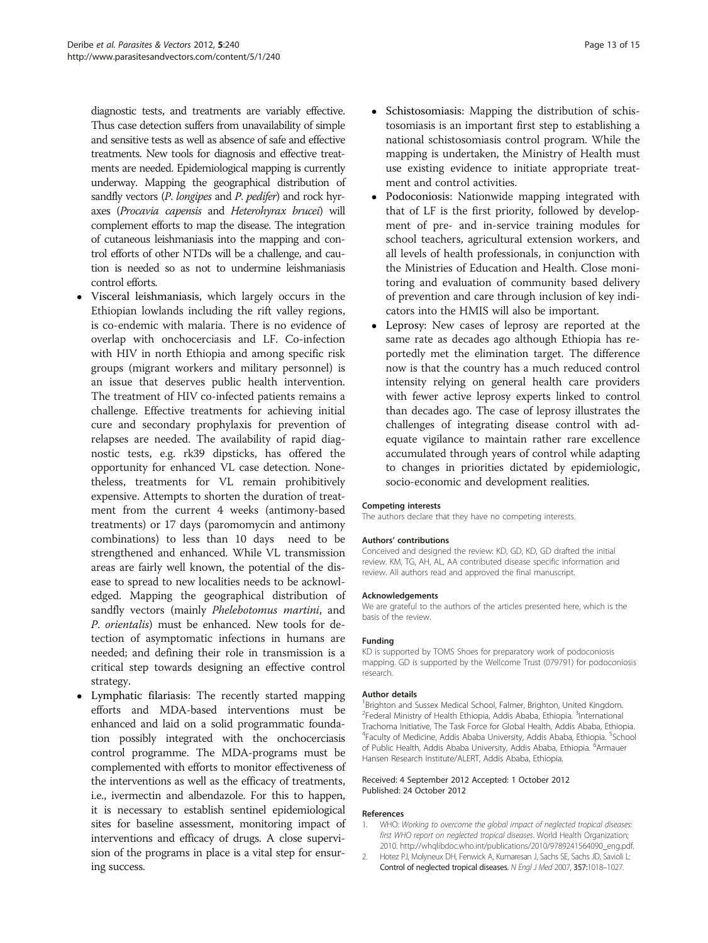<span id="page-12-0"></span>diagnostic tests, and treatments are variably effective. Thus case detection suffers from unavailability of simple and sensitive tests as well as absence of safe and effective treatments. New tools for diagnosis and effective treatments are needed. Epidemiological mapping is currently underway. Mapping the geographical distribution of sandfly vectors (P. longipes and P. pedifer) and rock hyraxes (Procavia capensis and Heterohyrax brucei) will complement efforts to map the disease. The integration of cutaneous leishmaniasis into the mapping and control efforts of other NTDs will be a challenge, and caution is needed so as not to undermine leishmaniasis control efforts.

- Visceral leishmaniasis, which largely occurs in the Ethiopian lowlands including the rift valley regions, is co-endemic with malaria. There is no evidence of overlap with onchocerciasis and LF. Co-infection with HIV in north Ethiopia and among specific risk groups (migrant workers and military personnel) is an issue that deserves public health intervention. The treatment of HIV co-infected patients remains a challenge. Effective treatments for achieving initial cure and secondary prophylaxis for prevention of relapses are needed. The availability of rapid diagnostic tests, e.g. rk39 dipsticks, has offered the opportunity for enhanced VL case detection. Nonetheless, treatments for VL remain prohibitively expensive. Attempts to shorten the duration of treatment from the current 4 weeks (antimony-based treatments) or 17 days (paromomycin and antimony combinations) to less than 10 days need to be strengthened and enhanced. While VL transmission areas are fairly well known, the potential of the disease to spread to new localities needs to be acknowledged. Mapping the geographical distribution of sandfly vectors (mainly Phelebotomus martini, and P. orientalis) must be enhanced. New tools for detection of asymptomatic infections in humans are needed; and defining their role in transmission is a critical step towards designing an effective control strategy.
- Lymphatic filariasis: The recently started mapping efforts and MDA-based interventions must be enhanced and laid on a solid programmatic foundation possibly integrated with the onchocerciasis control programme. The MDA-programs must be complemented with efforts to monitor effectiveness of the interventions as well as the efficacy of treatments, i.e., ivermectin and albendazole. For this to happen, it is necessary to establish sentinel epidemiological sites for baseline assessment, monitoring impact of interventions and efficacy of drugs. A close supervision of the programs in place is a vital step for ensuring success.
- Schistosomiasis: Mapping the distribution of schistosomiasis is an important first step to establishing a national schistosomiasis control program. While the mapping is undertaken, the Ministry of Health must use existing evidence to initiate appropriate treatment and control activities.
- Podoconiosis: Nationwide mapping integrated with that of LF is the first priority, followed by development of pre- and in-service training modules for school teachers, agricultural extension workers, and all levels of health professionals, in conjunction with the Ministries of Education and Health. Close monitoring and evaluation of community based delivery of prevention and care through inclusion of key indicators into the HMIS will also be important.
- Leprosy: New cases of leprosy are reported at the same rate as decades ago although Ethiopia has reportedly met the elimination target. The difference now is that the country has a much reduced control intensity relying on general health care providers with fewer active leprosy experts linked to control than decades ago. The case of leprosy illustrates the challenges of integrating disease control with adequate vigilance to maintain rather rare excellence accumulated through years of control while adapting to changes in priorities dictated by epidemiologic, socio-economic and development realities.

#### Competing interests

The authors declare that they have no competing interests.

#### Authors' contributions

Conceived and designed the review: KD, GD, KD, GD drafted the initial review. KM, TG, AH, AL, AA contributed disease specific information and review. All authors read and approved the final manuscript.

#### Acknowledgements

We are grateful to the authors of the articles presented here, which is the basis of the review.

#### Funding

KD is supported by TOMS Shoes for preparatory work of podoconiosis mapping. GD is supported by the Wellcome Trust (079791) for podoconiosis research.

#### Author details

<sup>1</sup> Brighton and Sussex Medical School, Falmer, Brighton, United Kingdom. <sup>2</sup>Federal Ministry of Health Ethiopia, Addis Ababa, Ethiopia. <sup>3</sup>International Trachoma Initiative, The Task Force for Global Health, Addis Ababa, Ethiopia. <sup>4</sup>Faculty of Medicine, Addis Ababa University, Addis Ababa, Ethiopia. <sup>5</sup>School of Public Health, Addis Ababa University, Addis Ababa, Ethiopia. <sup>6</sup>Armauer Hansen Research Institute/ALERT, Addis Ababa, Ethiopia.

#### Received: 4 September 2012 Accepted: 1 October 2012 Published: 24 October 2012

#### References

- 1. WHO: Working to overcome the global impact of neglected tropical diseases: first WHO report on neglected tropical diseases. World Health Organization; 2010. [http://whqlibdoc.who.int/publications/2010/9789241564090\\_eng.pdf.](http://whqlibdoc.who.int/publications/2010/9789241564090_eng.pdf)
- 2. Hotez PJ, Molyneux DH, Fenwick A, Kumaresan J, Sachs SE, Sachs JD, Savioli L: Control of neglected tropical diseases. N Engl J Med 2007, 357:1018–1027.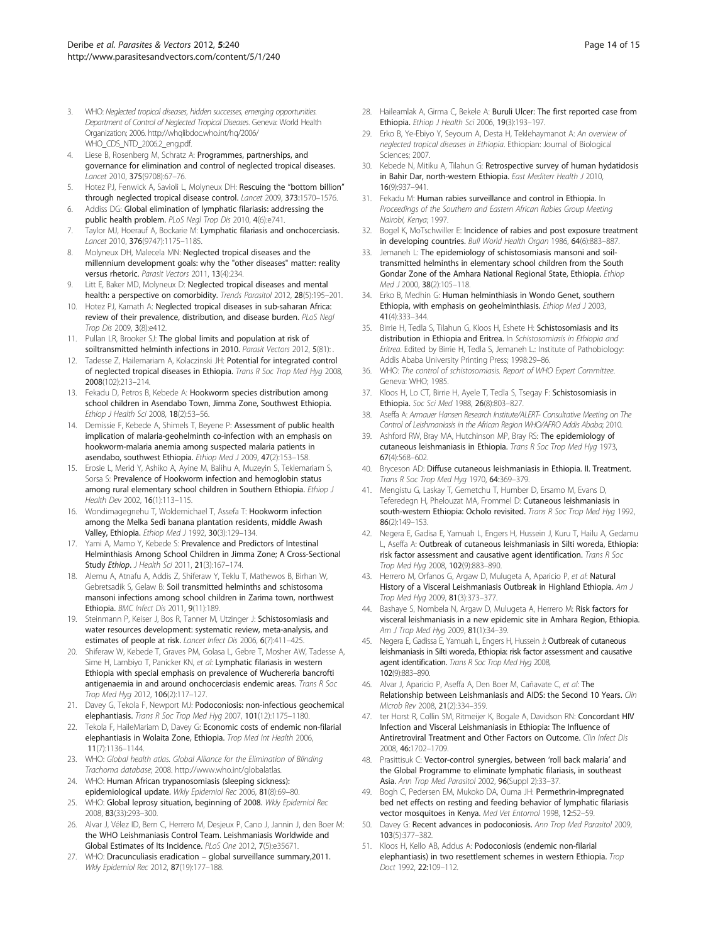- <span id="page-13-0"></span>3. WHO: Neglected tropical diseases, hidden successes, emerging opportunities. Department of Control of Neglected Tropical Diseases. Geneva: World Health Organization; 2006. [http://whqlibdoc.who.int/hq/2006/](http://whqlibdoc.who.int/hq/2006/WHO_CDS_NTD_2006.2_eng.pdf) [WHO\\_CDS\\_NTD\\_2006.2\\_eng.pdf](http://whqlibdoc.who.int/hq/2006/WHO_CDS_NTD_2006.2_eng.pdf).
- 4. Liese B, Rosenberg M, Schratz A: Programmes, partnerships, and governance for elimination and control of neglected tropical diseases. Lancet 2010, 375(9708):67–76.
- Hotez PJ, Fenwick A, Savioli L, Molyneux DH: Rescuing the "bottom billion" through neglected tropical disease control. Lancet 2009, 373:1570–1576.
- 6. Addiss DG: Global elimination of lymphatic filariasis: addressing the public health problem. PLoS Negl Trop Dis 2010, 4(6):e741.
- 7. Taylor MJ, Hoerauf A, Bockarie M: Lymphatic filariasis and onchocerciasis. Lancet 2010, 376(9747):1175–1185.
- 8. Molyneux DH, Malecela MN: Neglected tropical diseases and the millennium development goals: why the "other diseases" matter: reality versus rhetoric. Parasit Vectors 2011, 13(4):234.
- 9. Litt E, Baker MD, Molyneux D: Neglected tropical diseases and mental health: a perspective on comorbidity. Trends Parasitol 2012, 28(5):195-201.
- 10. Hotez PJ, Kamath A: Neglected tropical diseases in sub-saharan Africa: review of their prevalence, distribution, and disease burden. PLoS Negl Trop Dis 2009, 3(8):e412.
- 11. Pullan LR, Brooker SJ: The global limits and population at risk of soiltransmitted helminth infections in 2010. Parasit Vectors 2012, 5(81): .
- 12. Tadesse Z, Hailemariam A, Kolaczinski JH: Potential for integrated control of neglected tropical diseases in Ethiopia. Trans R Soc Trop Med Hyg 2008, 2008(102):213–214.
- 13. Fekadu D, Petros B, Kebede A: Hookworm species distribution among school children in Asendabo Town, Jimma Zone, Southwest Ethiopia. Ethiop J Health Sci 2008, 18(2):53–56.
- 14. Demissie F, Kebede A, Shimels T, Beyene P: Assessment of public health implication of malaria-geohelminth co-infection with an emphasis on hookworm-malaria anemia among suspected malaria patients in asendabo, southwest Ethiopia. Ethiop Med J 2009, 47(2):153–158.
- 15. Erosie L, Merid Y, Ashiko A, Ayine M, Balihu A, Muzeyin S, Teklemariam S, Sorsa S: Prevalence of Hookworm infection and hemoglobin status among rural elementary school children in Southern Ethiopia. Ethiop J Health Dev 2002, 16(1):113–115.
- 16. Wondimagegnehu T, Woldemichael T, Assefa T: Hookworm infection among the Melka Sedi banana plantation residents, middle Awash Valley, Ethiopia. Ethiop Med J 1992, 30(3):129–134.
- 17. Yami A, Mamo Y, Kebede S: Prevalence and Predictors of Intestinal Helminthiasis Among School Children in Jimma Zone; A Cross-Sectional Study Ethiop. J Health Sci 2011, 21(3):167–174.
- 18. Alemu A, Atnafu A, Addis Z, Shiferaw Y, Teklu T, Mathewos B, Birhan W, Gebretsadik S, Gelaw B: Soil transmitted helminths and schistosoma mansoni infections among school children in Zarima town, northwest Ethiopia. BMC Infect Dis 2011, 9(11):189.
- 19. Steinmann P, Keiser J, Bos R, Tanner M, Utzinger J: Schistosomiasis and water resources development: systematic review, meta-analysis, and estimates of people at risk. Lancet Infect Dis 2006, 6(7):411-425.
- 20. Shiferaw W, Kebede T, Graves PM, Golasa L, Gebre T, Mosher AW, Tadesse A, Sime H, Lambiyo T, Panicker KN, et al: Lymphatic filariasis in western Ethiopia with special emphasis on prevalence of Wuchereria bancrofti antigenaemia in and around onchocerciasis endemic areas. Trans R Soc Trop Med Hyg 2012, 106(2):117–127.
- 21. Davey G, Tekola F, Newport MJ: Podoconiosis: non-infectious geochemical elephantiasis. Trans R Soc Trop Med Hyg 2007, 101(12):1175–1180.
- 22. Tekola F, HaileMariam D, Davey G: Economic costs of endemic non-filarial elephantiasis in Wolaita Zone, Ethiopia. Trop Med Int Health 2006, 11(7):1136–1144.
- 23. WHO: Global health atlas. Global Alliance for the Elimination of Blinding Trachoma database; 2008. [http://www.who.int/globalatlas.](http://www.who.int/globalatlas)
- 24. WHO: Human African trypanosomiasis (sleeping sickness): epidemiological update. Wkly Epidemiol Rec 2006, 81(8):69–80.
- 25. WHO: Global leprosy situation, beginning of 2008. Wkly Epidemiol Rec 2008, 83(33):293–300.
- 26. Alvar J, Vélez ID, Bern C, Herrero M, Desjeux P, Cano J, Jannin J, den Boer M: the WHO Leishmaniasis Control Team. Leishmaniasis Worldwide and Global Estimates of Its Incidence. PLoS One 2012, 7(5):e35671.
- 27. WHO: Dracunculiasis eradication global surveillance summary,2011. Wkly Epidemiol Rec 2012, 87(19):177–188.
- 28. Haileamlak A, Girma C, Bekele A: Buruli Ulcer: The first reported case from Ethiopia. Ethiop J Health Sci 2006, 19(3):193–197.
- 29. Erko B, Ye-Ebiyo Y, Seyoum A, Desta H, Teklehaymanot A: An overview of neglected tropical diseases in Ethiopia. Ethiopian: Journal of Biological Sciences; 2007.
- 30. Kebede N, Mitiku A, Tilahun G: Retrospective survey of human hydatidosis in Bahir Dar, north-western Ethiopia. East Mediterr Health J 2010, 16(9):937–941.
- 31. Fekadu M: Human rabies surveillance and control in Ethiopia. In Proceedings of the Southern and Eastern African Rabies Group Meeting Nairobi, Kenya; 1997.
- 32. Bogel K, MoTschwiller E: Incidence of rabies and post exposure treatment in developing countries. Bull World Health Organ 1986, 64(6):883-887.
- 33. Jemaneh L: The epidemiology of schistosomiasis mansoni and soiltransmitted helminths in elementary school children from the South Gondar Zone of the Amhara National Regional State, Ethiopia. Ethiop Med J 2000, 38(2):105–118.
- Erko B, Medhin G: Human helminthiasis in Wondo Genet, southern Ethiopia, with emphasis on geohelminthiasis. Ethiop Med J 2003, 41(4):333–344.
- 35. Birrie H, Tedla S, Tilahun G, Kloos H, Eshete H: Schistosomiasis and its distribution in Ethiopia and Eritrea. In Schistosomiasis in Ethiopia and Eritrea. Edited by Birrie H, Tedla S, Jemaneh L.: Institute of Pathobiology: Addis Ababa University Printing Press; 1998:29–86.
- 36. WHO: The control of schistosomiasis. Report of WHO Expert Committee. Geneva: WHO; 1985.
- 37. Kloos H, Lo CT, Birrie H, Ayele T, Tedla S, Tsegay F: Schistosomiasis in Ethiopia. Soc Sci Med 1988, 26(8):803–827.
- Aseffa A: Armauer Hansen Research Institute/ALERT- Consultative Meeting on The Control of Leishmaniasis in the African Region WHO/AFRO Addis Ababa; 2010.
- 39. Ashford RW, Bray MA, Hutchinson MP, Bray RS: The epidemiology of cutaneous leishmaniasis in Ethiopia. Trans R Soc Trop Med Hyg 1973, 67(4):568–602.
- 40. Bryceson AD: Diffuse cutaneous leishmaniasis in Ethiopia. II. Treatment. Trans R Soc Trop Med Hyg 1970, 64:369–379.
- 41. Mengistu G, Laskay T, Gemetchu T, Humber D, Ersamo M, Evans D, Teferedegn H, Phelouzat MA, Frommel D: Cutaneous leishmaniasis in south-western Ethiopia: Ocholo revisited. Trans R Soc Trop Med Hyg 1992, 86(2):149–153.
- 42. Negera E, Gadisa E, Yamuah L, Engers H, Hussein J, Kuru T, Hailu A, Gedamu L, Aseffa A: Outbreak of cutaneous leishmaniasis in Silti woreda, Ethiopia: risk factor assessment and causative agent identification. Trans R Soc Trop Med Hyg 2008, 102(9):883–890.
- 43. Herrero M, Orfanos G, Argaw D, Mulugeta A, Aparicio P, et al: Natural History of a Visceral Leishmaniasis Outbreak in Highland Ethiopia. Am J Trop Med Hyg 2009, 81(3):373–377.
- 44. Bashaye S, Nombela N, Argaw D, Mulugeta A, Herrero M: Risk factors for visceral leishmaniasis in a new epidemic site in Amhara Region, Ethiopia. Am J Trop Med Hyg 2009, 81(1):34–39.
- 45. Negera E, Gadissa E, Yamuah L, Engers H, Hussein J: Outbreak of cutaneous leishmaniasis in Silti woreda, Ethiopia: risk factor assessment and causative agent identification. Trans R Soc Trop Med Hyg 2008, 102(9):883–890.
- Alvar J, Aparicio P, Aseffa A, Den Boer M, Cañavate C, et al: The Relationship between Leishmaniasis and AIDS: the Second 10 Years. Clin Microb Rev 2008, 21(2):334–359.
- 47. ter Horst R, Collin SM, Ritmeijer K, Bogale A, Davidson RN: Concordant HIV Infection and Visceral Leishmaniasis in Ethiopia: The Influence of Antiretroviral Treatment and Other Factors on Outcome. Clin Infect Dis 2008, 46:1702–1709.
- 48. Prasittisuk C: Vector-control synergies, between 'roll back malaria' and the Global Programme to eliminate lymphatic filariasis, in southeast Asia. Ann Trop Med Parasitol 2002, 96(Suppl 2):33–37.
- 49. Bogh C, Pedersen EM, Mukoko DA, Ouma JH: Permethrin-impregnated bed net effects on resting and feeding behavior of lymphatic filariasis vector mosquitoes in Kenya. Med Vet Entomol 1998, 12:52–59.
- 50. Davey G: Recent advances in podoconiosis. Ann Trop Med Parasitol 2009, 103(5):377–382.
- 51. Kloos H, Kello AB, Addus A: Podoconiosis (endemic non-filarial elephantiasis) in two resettlement schemes in western Ethiopia. Trop Doct 1992, 22:109–112.